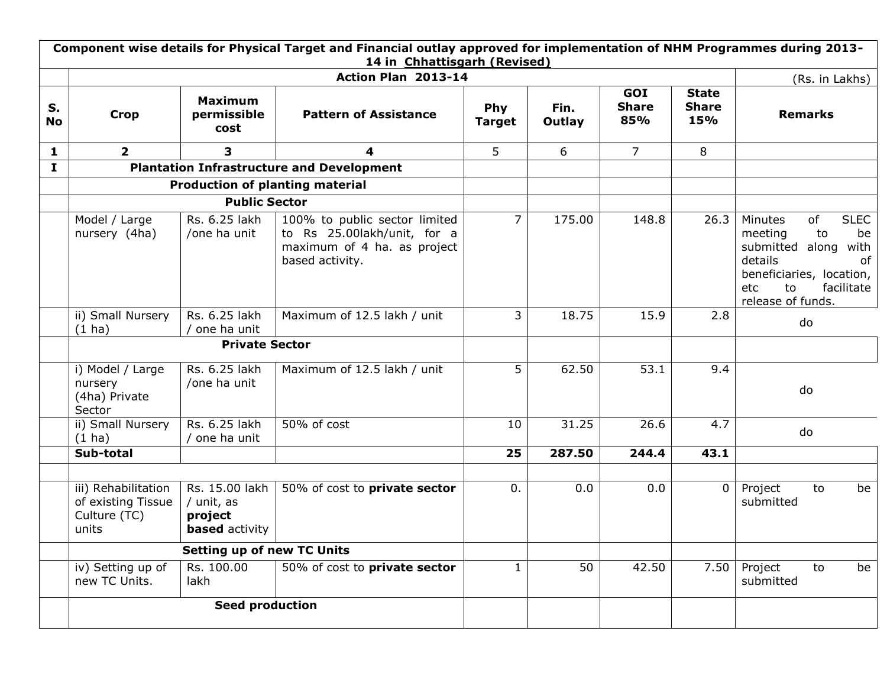|                 | Component wise details for Physical Target and Financial outlay approved for implementation of NHM Programmes during 2013-<br>14 in Chhattisgarh (Revised) |                                                                  |                                                                                                                |                      |                |                            |                                     |                                                                                                                                                                             |  |  |
|-----------------|------------------------------------------------------------------------------------------------------------------------------------------------------------|------------------------------------------------------------------|----------------------------------------------------------------------------------------------------------------|----------------------|----------------|----------------------------|-------------------------------------|-----------------------------------------------------------------------------------------------------------------------------------------------------------------------------|--|--|
|                 |                                                                                                                                                            |                                                                  | Action Plan 2013-14                                                                                            |                      |                |                            |                                     | (Rs. in Lakhs)                                                                                                                                                              |  |  |
| S.<br><b>No</b> | <b>Crop</b>                                                                                                                                                | <b>Maximum</b><br>permissible<br>cost                            | <b>Pattern of Assistance</b>                                                                                   | Phy<br><b>Target</b> | Fin.<br>Outlay | GOI<br><b>Share</b><br>85% | <b>State</b><br><b>Share</b><br>15% | <b>Remarks</b>                                                                                                                                                              |  |  |
| $\mathbf{1}$    | $\overline{2}$                                                                                                                                             | 3                                                                | 4                                                                                                              | 5                    | 6              | $\overline{7}$             | 8                                   |                                                                                                                                                                             |  |  |
| $\mathbf{I}$    |                                                                                                                                                            |                                                                  | <b>Plantation Infrastructure and Development</b>                                                               |                      |                |                            |                                     |                                                                                                                                                                             |  |  |
|                 | <b>Production of planting material</b>                                                                                                                     |                                                                  |                                                                                                                |                      |                |                            |                                     |                                                                                                                                                                             |  |  |
|                 |                                                                                                                                                            | <b>Public Sector</b>                                             |                                                                                                                |                      |                |                            |                                     |                                                                                                                                                                             |  |  |
|                 | Model / Large<br>nursery (4ha)                                                                                                                             | Rs. 6.25 lakh<br>/one ha unit                                    | 100% to public sector limited<br>to Rs 25.00lakh/unit, for a<br>maximum of 4 ha. as project<br>based activity. | $\overline{7}$       | 175.00         | 148.8                      | 26.3                                | <b>SLEC</b><br>of<br>Minutes<br>meeting<br>to<br>be<br>submitted along<br>with<br>details<br>of<br>beneficiaries, location,<br>etc<br>to<br>facilitate<br>release of funds. |  |  |
|                 | ii) Small Nursery<br>$(1)$ ha)                                                                                                                             | Rs. 6.25 lakh<br>one ha unit                                     | Maximum of 12.5 lakh / unit                                                                                    | 3                    | 18.75          | 15.9                       | 2.8                                 | do                                                                                                                                                                          |  |  |
|                 |                                                                                                                                                            | <b>Private Sector</b>                                            |                                                                                                                |                      |                |                            |                                     |                                                                                                                                                                             |  |  |
|                 | i) Model / Large<br>nursery<br>(4ha) Private<br>Sector                                                                                                     | Rs. 6.25 lakh<br>/one ha unit                                    | Maximum of 12.5 lakh / unit                                                                                    | 5                    | 62.50          | 53.1                       | 9.4                                 | do                                                                                                                                                                          |  |  |
|                 | ii) Small Nursery<br>$(1)$ ha)                                                                                                                             | Rs. 6.25 lakh<br>one ha unit                                     | 50% of cost                                                                                                    | 10                   | 31.25          | 26.6                       | 4.7                                 | do                                                                                                                                                                          |  |  |
|                 | Sub-total                                                                                                                                                  |                                                                  |                                                                                                                | 25                   | 287.50         | 244.4                      | 43.1                                |                                                                                                                                                                             |  |  |
|                 |                                                                                                                                                            |                                                                  |                                                                                                                |                      |                |                            |                                     |                                                                                                                                                                             |  |  |
|                 | iii) Rehabilitation<br>of existing Tissue<br>Culture (TC)<br>units                                                                                         | Rs. 15.00 lakh<br>/ unit, as<br>project<br><b>based</b> activity | 50% of cost to <b>private sector</b>                                                                           | 0.                   | 0.0            | 0.0                        | $\overline{0}$                      | Project<br>be<br>to<br>submitted                                                                                                                                            |  |  |
|                 |                                                                                                                                                            | <b>Setting up of new TC Units</b>                                |                                                                                                                |                      |                |                            |                                     |                                                                                                                                                                             |  |  |
|                 | iv) Setting up of<br>new TC Units.                                                                                                                         | Rs. 100.00<br>lakh                                               | 50% of cost to private sector                                                                                  | $\mathbf{1}$         | 50             | 42.50                      | 7.50                                | Project<br>to<br>be<br>submitted                                                                                                                                            |  |  |
|                 |                                                                                                                                                            | <b>Seed production</b>                                           |                                                                                                                |                      |                |                            |                                     |                                                                                                                                                                             |  |  |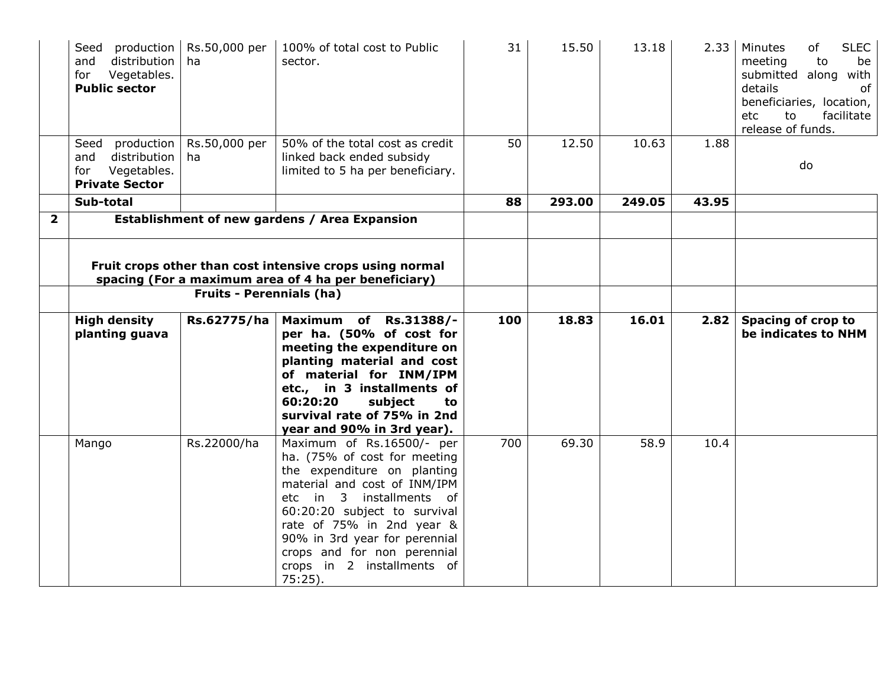|                         | Seed<br>production<br>distribution<br>and<br>Vegetables.<br>for<br><b>Public sector</b>  | Rs.50,000 per<br>ha                                                                                                                                 | 100% of total cost to Public<br>sector.                                                                                                                                                                                                                          | 31  | 15.50  | 13.18  | 2.33  | Minutes<br><b>SLEC</b><br>of<br>meeting<br>to<br>be<br>submitted along with<br>details<br>of<br>beneficiaries, location,<br>to<br>facilitate<br>etc.<br>release of funds. |
|-------------------------|------------------------------------------------------------------------------------------|-----------------------------------------------------------------------------------------------------------------------------------------------------|------------------------------------------------------------------------------------------------------------------------------------------------------------------------------------------------------------------------------------------------------------------|-----|--------|--------|-------|---------------------------------------------------------------------------------------------------------------------------------------------------------------------------|
|                         | production<br>Seed<br>distribution<br>and<br>Vegetables.<br>for<br><b>Private Sector</b> | Rs.50,000 per<br>ha.                                                                                                                                | 50% of the total cost as credit<br>linked back ended subsidy<br>limited to 5 ha per beneficiary.                                                                                                                                                                 | 50  | 12.50  | 10.63  | 1.88  | do                                                                                                                                                                        |
|                         | Sub-total                                                                                |                                                                                                                                                     |                                                                                                                                                                                                                                                                  | 88  | 293.00 | 249.05 | 43.95 |                                                                                                                                                                           |
| $\overline{\mathbf{2}}$ |                                                                                          | Establishment of new gardens / Area Expansion                                                                                                       |                                                                                                                                                                                                                                                                  |     |        |        |       |                                                                                                                                                                           |
|                         |                                                                                          | Fruit crops other than cost intensive crops using normal<br>spacing (For a maximum area of 4 ha per beneficiary)<br><b>Fruits - Perennials (ha)</b> |                                                                                                                                                                                                                                                                  |     |        |        |       |                                                                                                                                                                           |
|                         |                                                                                          |                                                                                                                                                     |                                                                                                                                                                                                                                                                  |     |        |        |       |                                                                                                                                                                           |
|                         | <b>High density</b><br>planting guava                                                    | Rs.62775/ha                                                                                                                                         | Maximum of Rs.31388/-<br>per ha. (50% of cost for<br>meeting the expenditure on<br>planting material and cost<br>of material for INM/IPM<br>etc., in 3 installments of<br>60:20:20<br>subject<br>to<br>survival rate of 75% in 2nd<br>year and 90% in 3rd year). | 100 | 18.83  | 16.01  | 2.82  | Spacing of crop to<br>be indicates to NHM                                                                                                                                 |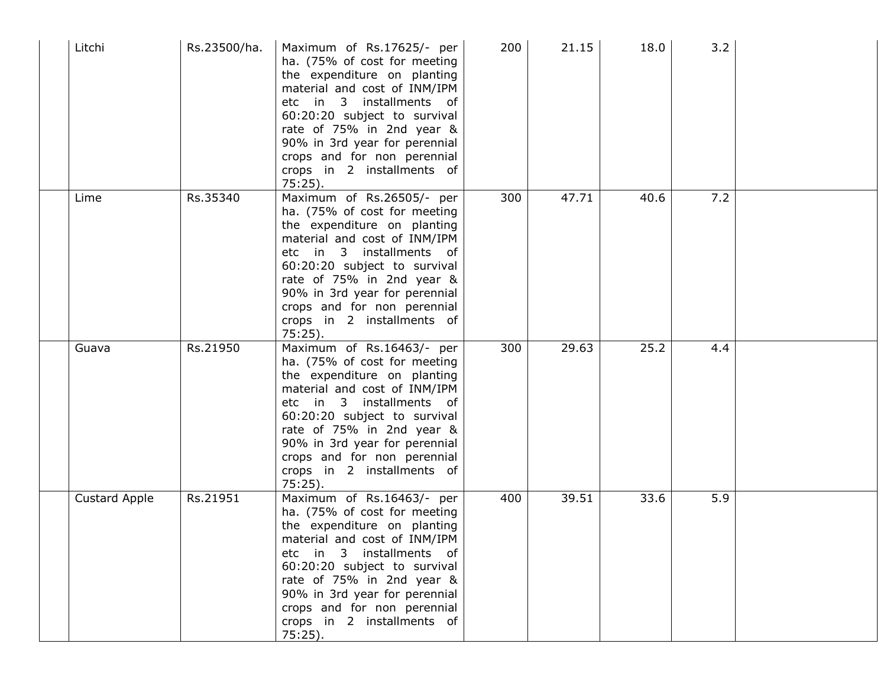| Litchi               | Rs.23500/ha. | Maximum of Rs.17625/- per<br>ha. (75% of cost for meeting<br>the expenditure on planting<br>material and cost of INM/IPM<br>etc in 3 installments of<br>60:20:20 subject to survival<br>rate of 75% in 2nd year &<br>90% in 3rd year for perennial<br>crops and for non perennial<br>crops in 2 installments of<br>$75:25$ ). | 200 | 21.15 | 18.0 | 3.2 |  |
|----------------------|--------------|-------------------------------------------------------------------------------------------------------------------------------------------------------------------------------------------------------------------------------------------------------------------------------------------------------------------------------|-----|-------|------|-----|--|
| Lime                 | Rs.35340     | Maximum of Rs.26505/- per<br>ha. (75% of cost for meeting<br>the expenditure on planting<br>material and cost of INM/IPM<br>etc in 3 installments of<br>60:20:20 subject to survival<br>rate of 75% in 2nd year &<br>90% in 3rd year for perennial<br>crops and for non perennial<br>crops in 2 installments of<br>$75:25$ ). | 300 | 47.71 | 40.6 | 7.2 |  |
| Guava                | Rs.21950     | Maximum of Rs.16463/- per<br>ha. (75% of cost for meeting<br>the expenditure on planting<br>material and cost of INM/IPM<br>etc in 3 installments of<br>60:20:20 subject to survival<br>rate of 75% in 2nd year &<br>90% in 3rd year for perennial<br>crops and for non perennial<br>crops in 2 installments of<br>$75:25$ ). | 300 | 29.63 | 25.2 | 4.4 |  |
| <b>Custard Apple</b> | Rs.21951     | Maximum of Rs.16463/- per<br>ha. (75% of cost for meeting<br>the expenditure on planting<br>material and cost of INM/IPM<br>etc in 3 installments of<br>60:20:20 subject to survival<br>rate of 75% in 2nd year &<br>90% in 3rd year for perennial<br>crops and for non perennial<br>crops in 2 installments of<br>$75:25$ ). | 400 | 39.51 | 33.6 | 5.9 |  |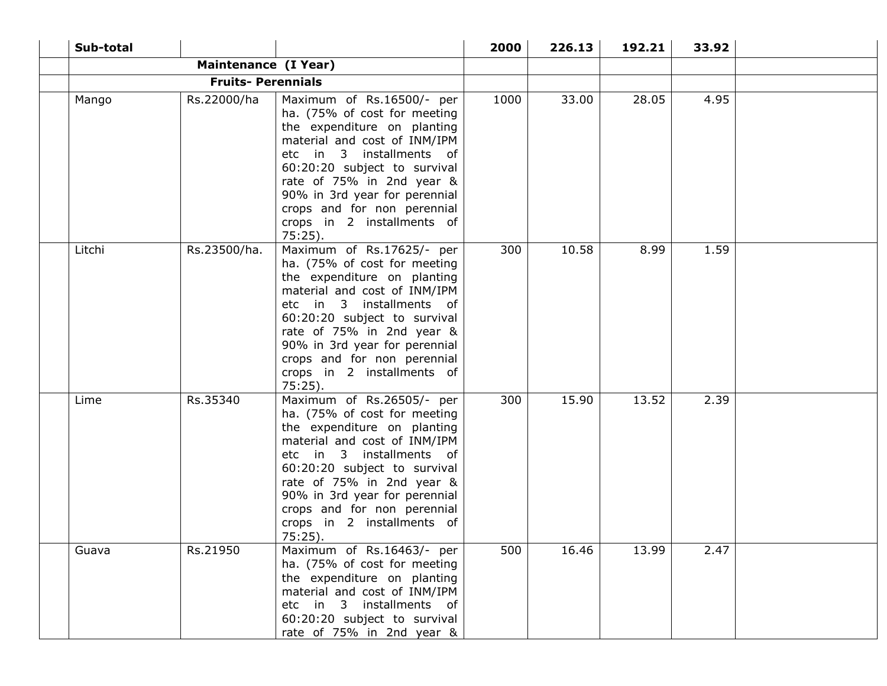| Sub-total |                          |                                                                                                                                                                                                                                                                                                                               | 2000 | 226.13 | 192.21 | 33.92 |  |
|-----------|--------------------------|-------------------------------------------------------------------------------------------------------------------------------------------------------------------------------------------------------------------------------------------------------------------------------------------------------------------------------|------|--------|--------|-------|--|
|           | Maintenance (I Year)     |                                                                                                                                                                                                                                                                                                                               |      |        |        |       |  |
|           | <b>Fruits-Perennials</b> |                                                                                                                                                                                                                                                                                                                               |      |        |        |       |  |
| Mango     | Rs.22000/ha              | Maximum of Rs.16500/- per<br>ha. (75% of cost for meeting<br>the expenditure on planting<br>material and cost of INM/IPM<br>etc in 3 installments of<br>60:20:20 subject to survival<br>rate of 75% in 2nd year &<br>90% in 3rd year for perennial<br>crops and for non perennial<br>crops in 2 installments of<br>$75:25$ ). | 1000 | 33.00  | 28.05  | 4.95  |  |
| Litchi    | Rs.23500/ha.             | Maximum of Rs.17625/- per<br>ha. (75% of cost for meeting<br>the expenditure on planting<br>material and cost of INM/IPM<br>etc in 3 installments of<br>60:20:20 subject to survival<br>rate of 75% in 2nd year &<br>90% in 3rd year for perennial<br>crops and for non perennial<br>crops in 2 installments of<br>$75:25$ ). | 300  | 10.58  | 8.99   | 1.59  |  |
| Lime      | Rs.35340                 | Maximum of Rs.26505/- per<br>ha. (75% of cost for meeting<br>the expenditure on planting<br>material and cost of INM/IPM<br>etc in 3 installments of<br>60:20:20 subject to survival<br>rate of 75% in 2nd year &<br>90% in 3rd year for perennial<br>crops and for non perennial<br>crops in 2 installments of<br>$75:25$ ). | 300  | 15.90  | 13.52  | 2.39  |  |
| Guava     | Rs.21950                 | Maximum of Rs.16463/- per<br>ha. (75% of cost for meeting<br>the expenditure on planting<br>material and cost of INM/IPM<br>etc in 3 installments of<br>60:20:20 subject to survival<br>rate of 75% in 2nd year &                                                                                                             | 500  | 16.46  | 13.99  | 2.47  |  |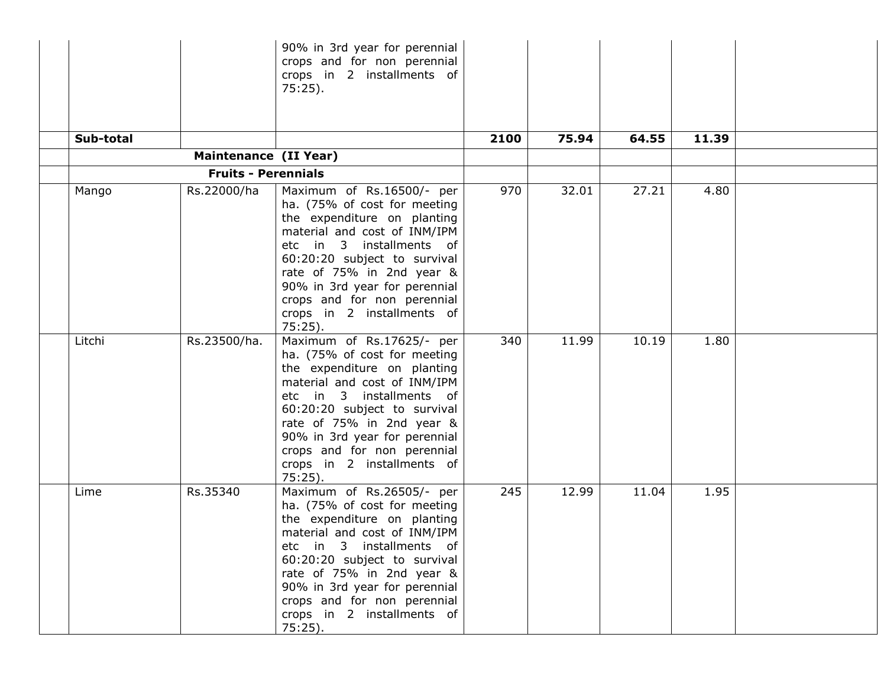| Sub-total |                            | 90% in 3rd year for perennial<br>crops and for non perennial<br>crops in 2 installments of<br>$75:25$ ).                                                                                                                                                                                                                      | 2100 | 75.94 | 64.55 | 11.39 |  |
|-----------|----------------------------|-------------------------------------------------------------------------------------------------------------------------------------------------------------------------------------------------------------------------------------------------------------------------------------------------------------------------------|------|-------|-------|-------|--|
|           | Maintenance (II Year)      |                                                                                                                                                                                                                                                                                                                               |      |       |       |       |  |
|           | <b>Fruits - Perennials</b> |                                                                                                                                                                                                                                                                                                                               |      |       |       |       |  |
| Mango     | Rs.22000/ha                | Maximum of Rs.16500/- per<br>ha. (75% of cost for meeting<br>the expenditure on planting<br>material and cost of INM/IPM<br>etc in 3 installments of<br>60:20:20 subject to survival<br>rate of 75% in 2nd year &<br>90% in 3rd year for perennial<br>crops and for non perennial<br>crops in 2 installments of<br>$75:25$ ). | 970  | 32.01 | 27.21 | 4.80  |  |
| Litchi    | Rs.23500/ha.               | Maximum of Rs.17625/- per<br>ha. (75% of cost for meeting<br>the expenditure on planting<br>material and cost of INM/IPM<br>etc in 3 installments of<br>60:20:20 subject to survival<br>rate of 75% in 2nd year &<br>90% in 3rd year for perennial<br>crops and for non perennial<br>crops in 2 installments of<br>$75:25$ ). | 340  | 11.99 | 10.19 | 1.80  |  |
| Lime      | Rs.35340                   | Maximum of Rs.26505/- per<br>ha. (75% of cost for meeting<br>the expenditure on planting<br>material and cost of INM/IPM<br>etc in 3 installments of<br>60:20:20 subject to survival<br>rate of 75% in 2nd year &<br>90% in 3rd year for perennial<br>crops and for non perennial<br>crops in 2 installments of<br>$75:25$ ). | 245  | 12.99 | 11.04 | 1.95  |  |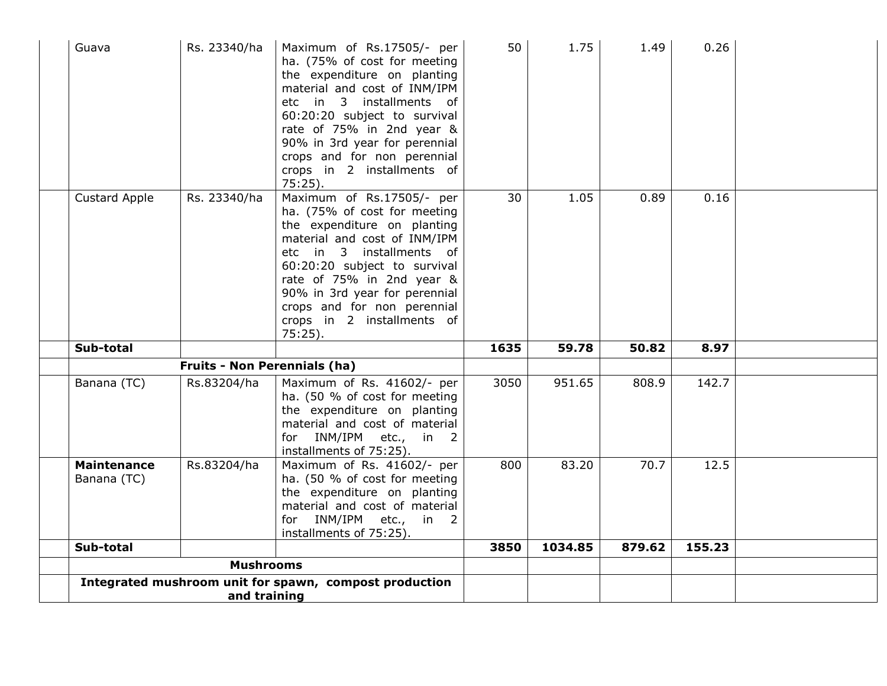| Guava                             | Rs. 23340/ha                        | Maximum of Rs.17505/- per<br>ha. (75% of cost for meeting<br>the expenditure on planting<br>material and cost of INM/IPM<br>etc in 3 installments of<br>60:20:20 subject to survival<br>rate of 75% in 2nd year &<br>90% in 3rd year for perennial<br>crops and for non perennial<br>crops in 2 installments of<br>$75:25$ ). | 50   | 1.75    | 1.49   | 0.26   |  |
|-----------------------------------|-------------------------------------|-------------------------------------------------------------------------------------------------------------------------------------------------------------------------------------------------------------------------------------------------------------------------------------------------------------------------------|------|---------|--------|--------|--|
| <b>Custard Apple</b>              | Rs. 23340/ha                        | Maximum of Rs.17505/- per<br>ha. (75% of cost for meeting<br>the expenditure on planting<br>material and cost of INM/IPM<br>etc in 3 installments of<br>60:20:20 subject to survival<br>rate of 75% in 2nd year &<br>90% in 3rd year for perennial<br>crops and for non perennial<br>crops in 2 installments of<br>$75:25$ ). | 30   | 1.05    | 0.89   | 0.16   |  |
| Sub-total                         |                                     |                                                                                                                                                                                                                                                                                                                               | 1635 | 59.78   | 50.82  | 8.97   |  |
|                                   | <b>Fruits - Non Perennials (ha)</b> |                                                                                                                                                                                                                                                                                                                               |      |         |        |        |  |
| Banana (TC)                       | Rs.83204/ha                         | Maximum of Rs. 41602/- per<br>ha. (50 % of cost for meeting<br>the expenditure on planting<br>material and cost of material<br>for INM/IPM etc.,<br>in 2<br>installments of 75:25).                                                                                                                                           | 3050 | 951.65  | 808.9  | 142.7  |  |
| <b>Maintenance</b><br>Banana (TC) | Rs.83204/ha                         | Maximum of Rs. 41602/- per<br>ha. (50 % of cost for meeting<br>the expenditure on planting<br>material and cost of material<br>for INM/IPM etc., in 2<br>installments of 75:25).                                                                                                                                              | 800  | 83.20   | 70.7   | 12.5   |  |
| Sub-total                         |                                     |                                                                                                                                                                                                                                                                                                                               | 3850 | 1034.85 | 879.62 | 155.23 |  |
| <b>Mushrooms</b>                  |                                     |                                                                                                                                                                                                                                                                                                                               |      |         |        |        |  |
|                                   | and training                        | Integrated mushroom unit for spawn, compost production                                                                                                                                                                                                                                                                        |      |         |        |        |  |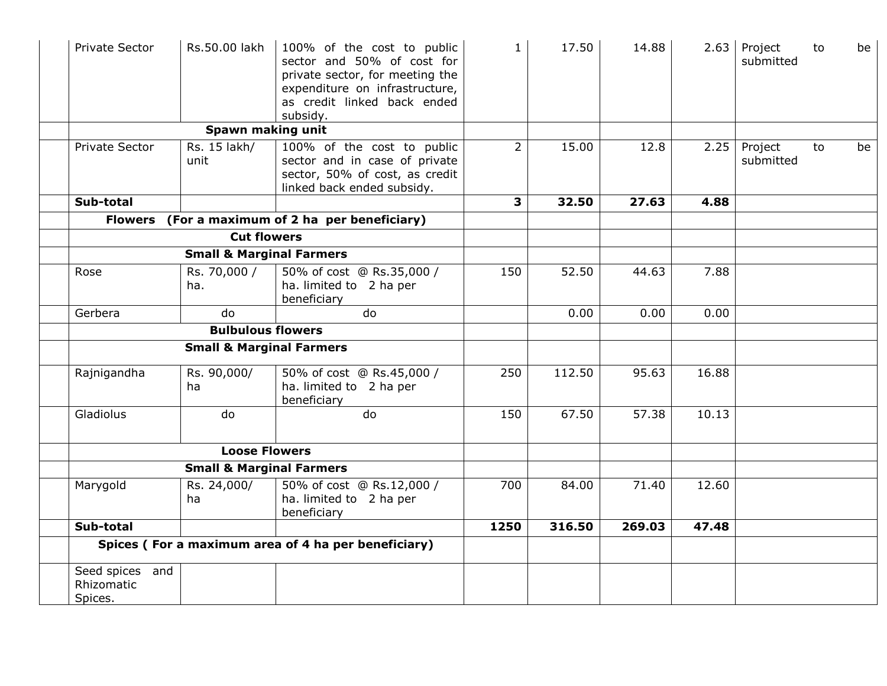| Private Sector                           | Rs.50.00 lakh                       | 100% of the cost to public<br>sector and 50% of cost for<br>private sector, for meeting the<br>expenditure on infrastructure,<br>as credit linked back ended<br>subsidy. | $\mathbf{1}$   | 17.50  | 14.88  | 2.63  | Project<br>submitted | to | be |
|------------------------------------------|-------------------------------------|--------------------------------------------------------------------------------------------------------------------------------------------------------------------------|----------------|--------|--------|-------|----------------------|----|----|
|                                          | Spawn making unit                   |                                                                                                                                                                          |                |        |        |       |                      |    |    |
| Private Sector                           | Rs. 15 lakh/<br>unit                | 100% of the cost to public<br>sector and in case of private<br>sector, 50% of cost, as credit<br>linked back ended subsidy.                                              | $\overline{2}$ | 15.00  | 12.8   | 2.25  | Project<br>submitted | to | be |
| Sub-total                                |                                     |                                                                                                                                                                          | 3              | 32.50  | 27.63  | 4.88  |                      |    |    |
|                                          |                                     | Flowers (For a maximum of 2 ha per beneficiary)                                                                                                                          |                |        |        |       |                      |    |    |
|                                          | <b>Cut flowers</b>                  |                                                                                                                                                                          |                |        |        |       |                      |    |    |
|                                          | <b>Small &amp; Marginal Farmers</b> |                                                                                                                                                                          |                |        |        |       |                      |    |    |
| Rose                                     | Rs. 70,000 /<br>ha.                 | 50% of cost @ Rs.35,000 /<br>ha. limited to 2 ha per<br>beneficiary                                                                                                      | 150            | 52.50  | 44.63  | 7.88  |                      |    |    |
| Gerbera                                  | do                                  | do                                                                                                                                                                       |                | 0.00   | 0.00   | 0.00  |                      |    |    |
|                                          | <b>Bulbulous flowers</b>            |                                                                                                                                                                          |                |        |        |       |                      |    |    |
|                                          | <b>Small &amp; Marginal Farmers</b> |                                                                                                                                                                          |                |        |        |       |                      |    |    |
| Rajnigandha                              | Rs. 90,000/<br>ha                   | 50% of cost @ Rs.45,000 /<br>ha. limited to 2 ha per<br>beneficiary                                                                                                      | 250            | 112.50 | 95.63  | 16.88 |                      |    |    |
| Gladiolus                                | do                                  | do                                                                                                                                                                       | 150            | 67.50  | 57.38  | 10.13 |                      |    |    |
|                                          | <b>Loose Flowers</b>                |                                                                                                                                                                          |                |        |        |       |                      |    |    |
|                                          | <b>Small &amp; Marginal Farmers</b> |                                                                                                                                                                          |                |        |        |       |                      |    |    |
| Marygold                                 | Rs. 24,000/<br>ha                   | 50% of cost @ Rs.12,000 /<br>ha. limited to 2 ha per<br>beneficiary                                                                                                      | 700            | 84.00  | 71.40  | 12.60 |                      |    |    |
| Sub-total                                |                                     |                                                                                                                                                                          | 1250           | 316.50 | 269.03 | 47.48 |                      |    |    |
|                                          |                                     | Spices (For a maximum area of 4 ha per beneficiary)                                                                                                                      |                |        |        |       |                      |    |    |
| Seed spices and<br>Rhizomatic<br>Spices. |                                     |                                                                                                                                                                          |                |        |        |       |                      |    |    |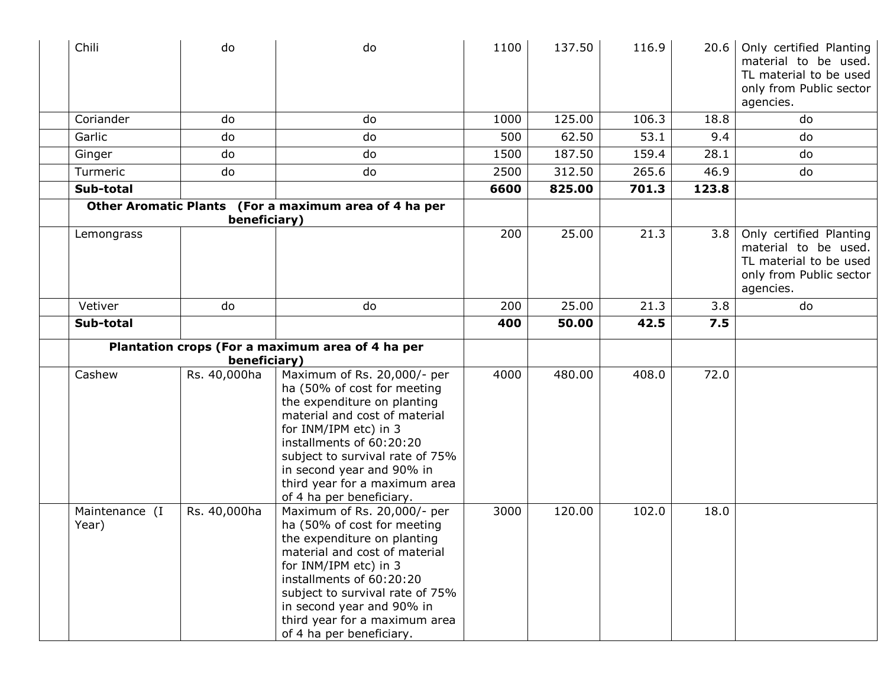| Chili                   | do           | do                                                                                                                                                                                                                                                                                                           | 1100 | 137.50 | 116.9 | 20.6  | Only certified Planting<br>material to be used.<br>TL material to be used<br>only from Public sector<br>agencies. |
|-------------------------|--------------|--------------------------------------------------------------------------------------------------------------------------------------------------------------------------------------------------------------------------------------------------------------------------------------------------------------|------|--------|-------|-------|-------------------------------------------------------------------------------------------------------------------|
| Coriander               | do           | do                                                                                                                                                                                                                                                                                                           | 1000 | 125.00 | 106.3 | 18.8  | do                                                                                                                |
| Garlic                  | do           | do                                                                                                                                                                                                                                                                                                           | 500  | 62.50  | 53.1  | 9.4   | do                                                                                                                |
| Ginger                  | do           | do                                                                                                                                                                                                                                                                                                           | 1500 | 187.50 | 159.4 | 28.1  | do                                                                                                                |
| Turmeric                | do           | do                                                                                                                                                                                                                                                                                                           | 2500 | 312.50 | 265.6 | 46.9  | do                                                                                                                |
| Sub-total               |              |                                                                                                                                                                                                                                                                                                              | 6600 | 825.00 | 701.3 | 123.8 |                                                                                                                   |
|                         | beneficiary) | Other Aromatic Plants (For a maximum area of 4 ha per                                                                                                                                                                                                                                                        |      |        |       |       |                                                                                                                   |
| Lemongrass              |              |                                                                                                                                                                                                                                                                                                              | 200  | 25.00  | 21.3  | 3.8   | Only certified Planting<br>material to be used.<br>TL material to be used<br>only from Public sector<br>agencies. |
| Vetiver                 | do           | do                                                                                                                                                                                                                                                                                                           | 200  | 25.00  | 21.3  | 3.8   | do                                                                                                                |
| Sub-total               |              |                                                                                                                                                                                                                                                                                                              | 400  | 50.00  | 42.5  | 7.5   |                                                                                                                   |
|                         | beneficiary) | Plantation crops (For a maximum area of 4 ha per                                                                                                                                                                                                                                                             |      |        |       |       |                                                                                                                   |
| Cashew                  | Rs. 40,000ha | Maximum of Rs. 20,000/- per<br>ha (50% of cost for meeting<br>the expenditure on planting<br>material and cost of material<br>for INM/IPM etc) in 3<br>installments of 60:20:20<br>subject to survival rate of 75%<br>in second year and 90% in<br>third year for a maximum area<br>of 4 ha per beneficiary. | 4000 | 480.00 | 408.0 | 72.0  |                                                                                                                   |
| Maintenance (I<br>Year) | Rs. 40,000ha | Maximum of Rs. 20,000/- per<br>ha (50% of cost for meeting<br>the expenditure on planting<br>material and cost of material<br>for INM/IPM etc) in 3<br>installments of 60:20:20<br>subject to survival rate of 75%<br>in second year and 90% in<br>third year for a maximum area<br>of 4 ha per beneficiary. | 3000 | 120.00 | 102.0 | 18.0  |                                                                                                                   |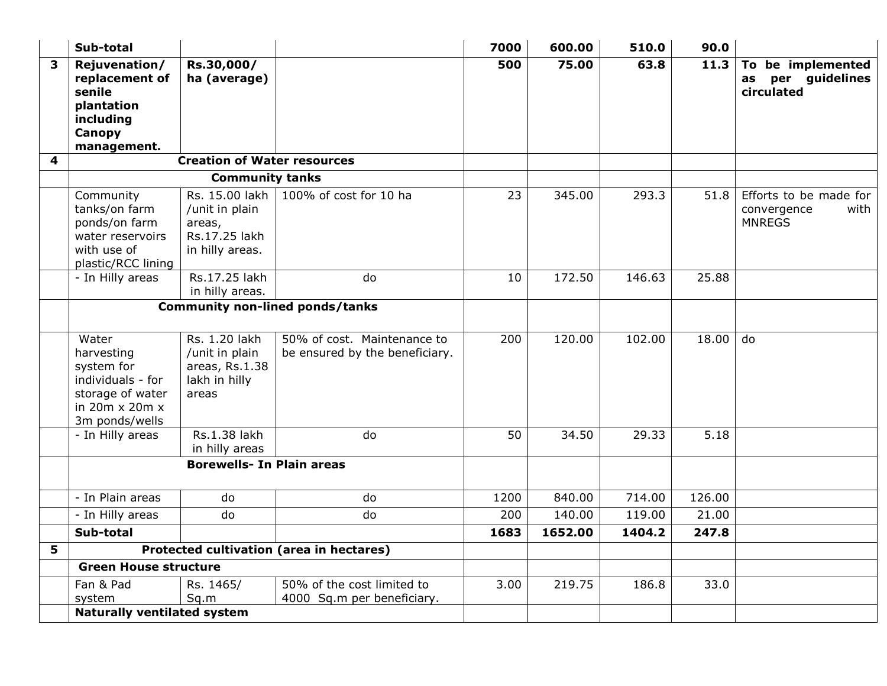|   | Sub-total                                                                                                                  |                                                                                |                                                               | 7000 | 600.00  | 510.0  | 90.0   |                                                                |
|---|----------------------------------------------------------------------------------------------------------------------------|--------------------------------------------------------------------------------|---------------------------------------------------------------|------|---------|--------|--------|----------------------------------------------------------------|
| 3 | Rejuvenation/<br>replacement of<br>senile<br>plantation<br>including<br>Canopy<br>management.                              | Rs.30,000/<br>ha (average)                                                     |                                                               | 500  | 75.00   | 63.8   | 11.3   | To be implemented<br>as per guidelines<br>circulated           |
| 4 |                                                                                                                            | <b>Creation of Water resources</b>                                             |                                                               |      |         |        |        |                                                                |
|   |                                                                                                                            | <b>Community tanks</b>                                                         |                                                               |      |         |        |        |                                                                |
|   | Community<br>tanks/on farm<br>ponds/on farm<br>water reservoirs<br>with use of<br>plastic/RCC lining                       | Rs. 15.00 lakh<br>/unit in plain<br>areas,<br>Rs.17.25 lakh<br>in hilly areas. | 100% of cost for 10 ha                                        | 23   | 345.00  | 293.3  | 51.8   | Efforts to be made for<br>convergence<br>with<br><b>MNREGS</b> |
|   | - In Hilly areas                                                                                                           | Rs.17.25 lakh<br>in hilly areas.                                               | do                                                            | 10   | 172.50  | 146.63 | 25.88  |                                                                |
|   | <b>Community non-lined ponds/tanks</b>                                                                                     |                                                                                |                                                               |      |         |        |        |                                                                |
|   | Water<br>harvesting<br>system for<br>individuals - for<br>storage of water<br>in $20m \times 20m \times$<br>3m ponds/wells | Rs. 1.20 lakh<br>/unit in plain<br>areas, Rs.1.38<br>lakh in hilly<br>areas    | 50% of cost. Maintenance to<br>be ensured by the beneficiary. | 200  | 120.00  | 102.00 | 18.00  | do                                                             |
|   | - In Hilly areas                                                                                                           | Rs.1.38 lakh<br>in hilly areas                                                 | do                                                            | 50   | 34.50   | 29.33  | 5.18   |                                                                |
|   | <b>Borewells- In Plain areas</b>                                                                                           |                                                                                |                                                               |      |         |        |        |                                                                |
|   | - In Plain areas                                                                                                           | do                                                                             | do                                                            | 1200 | 840.00  | 714.00 | 126.00 |                                                                |
|   | - In Hilly areas                                                                                                           | do                                                                             | do                                                            | 200  | 140.00  | 119.00 | 21.00  |                                                                |
|   | Sub-total                                                                                                                  |                                                                                |                                                               | 1683 | 1652.00 | 1404.2 | 247.8  |                                                                |
| 5 |                                                                                                                            |                                                                                | Protected cultivation (area in hectares)                      |      |         |        |        |                                                                |
|   | <b>Green House structure</b>                                                                                               |                                                                                |                                                               |      |         |        |        |                                                                |
|   | Fan & Pad<br>system                                                                                                        | Rs. 1465/<br>Sq.m                                                              | 50% of the cost limited to<br>4000 Sq.m per beneficiary.      | 3.00 | 219.75  | 186.8  | 33.0   |                                                                |
|   | <b>Naturally ventilated system</b>                                                                                         |                                                                                |                                                               |      |         |        |        |                                                                |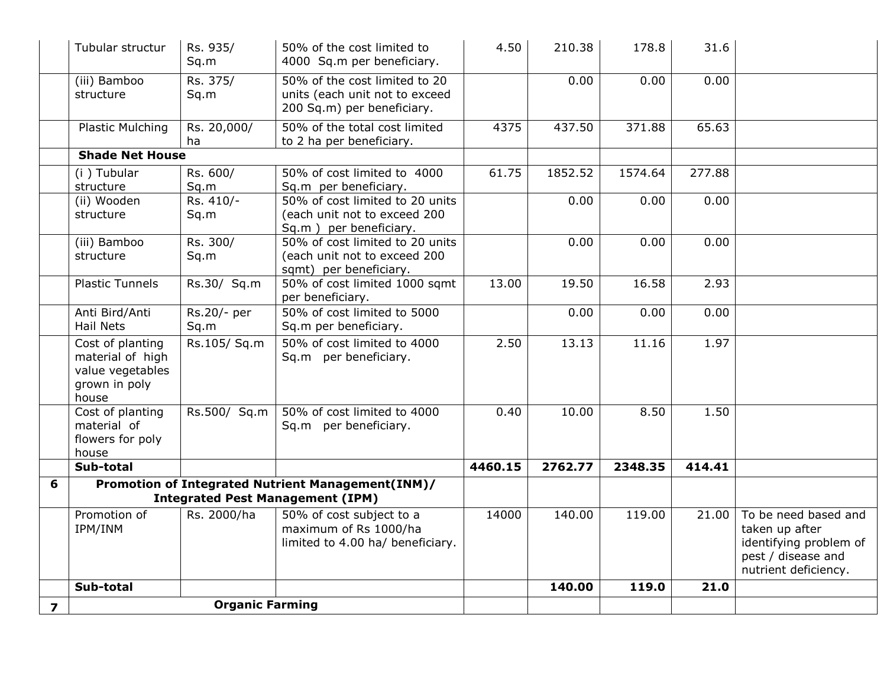|                         | Tubular structur                                                                   | Rs. 935/<br>Sq.m       | 50% of the cost limited to<br>4000 Sq.m per beneficiary.                                      | 4.50    | 210.38  | 178.8   | 31.6   |                                                                                                                |
|-------------------------|------------------------------------------------------------------------------------|------------------------|-----------------------------------------------------------------------------------------------|---------|---------|---------|--------|----------------------------------------------------------------------------------------------------------------|
|                         | (iii) Bamboo<br>structure                                                          | Rs. 375/<br>Sq.m       | 50% of the cost limited to 20<br>units (each unit not to exceed<br>200 Sq.m) per beneficiary. |         | 0.00    | 0.00    | 0.00   |                                                                                                                |
|                         | <b>Plastic Mulching</b>                                                            | Rs. 20,000/<br>ha      | 50% of the total cost limited<br>to 2 ha per beneficiary.                                     | 4375    | 437.50  | 371.88  | 65.63  |                                                                                                                |
|                         | <b>Shade Net House</b>                                                             |                        |                                                                                               |         |         |         |        |                                                                                                                |
|                         | (i) Tubular<br>structure                                                           | Rs. 600/<br>Sq.m       | 50% of cost limited to 4000<br>Sq.m per beneficiary.                                          | 61.75   | 1852.52 | 1574.64 | 277.88 |                                                                                                                |
|                         | (ii) Wooden<br>structure                                                           | Rs. 410/-<br>Sq.m      | 50% of cost limited to 20 units<br>(each unit not to exceed 200<br>Sq.m ) per beneficiary.    |         | 0.00    | 0.00    | 0.00   |                                                                                                                |
|                         | (iii) Bamboo<br>structure                                                          | Rs. 300/<br>Sq.m       | 50% of cost limited to 20 units<br>(each unit not to exceed 200<br>sqmt) per beneficiary.     |         | 0.00    | 0.00    | 0.00   |                                                                                                                |
|                         | <b>Plastic Tunnels</b>                                                             | Rs.30/ Sq.m            | 50% of cost limited 1000 sqmt<br>per beneficiary.                                             | 13.00   | 19.50   | 16.58   | 2.93   |                                                                                                                |
|                         | Anti Bird/Anti<br><b>Hail Nets</b>                                                 | Rs.20/- per<br>Sq.m    | 50% of cost limited to 5000<br>Sq.m per beneficiary.                                          |         | 0.00    | 0.00    | 0.00   |                                                                                                                |
|                         | Cost of planting<br>material of high<br>value vegetables<br>grown in poly<br>house | Rs.105/ Sq.m           | 50% of cost limited to 4000<br>Sq.m per beneficiary.                                          | 2.50    | 13.13   | 11.16   | 1.97   |                                                                                                                |
|                         | Cost of planting<br>material of<br>flowers for poly<br>house                       | Rs.500/ Sq.m           | 50% of cost limited to 4000<br>Sq.m per beneficiary.                                          | 0.40    | 10.00   | 8.50    | 1.50   |                                                                                                                |
|                         | Sub-total                                                                          |                        |                                                                                               | 4460.15 | 2762.77 | 2348.35 | 414.41 |                                                                                                                |
| 6                       |                                                                                    |                        | Promotion of Integrated Nutrient Management(INM)/<br><b>Integrated Pest Management (IPM)</b>  |         |         |         |        |                                                                                                                |
|                         | Promotion of<br>IPM/INM                                                            | Rs. 2000/ha            | 50% of cost subject to a<br>maximum of Rs 1000/ha<br>limited to 4.00 ha/ beneficiary.         | 14000   | 140.00  | 119.00  | 21.00  | To be need based and<br>taken up after<br>identifying problem of<br>pest / disease and<br>nutrient deficiency. |
|                         | Sub-total                                                                          |                        |                                                                                               |         | 140.00  | 119.0   | 21.0   |                                                                                                                |
| $\overline{\mathbf{z}}$ |                                                                                    | <b>Organic Farming</b> |                                                                                               |         |         |         |        |                                                                                                                |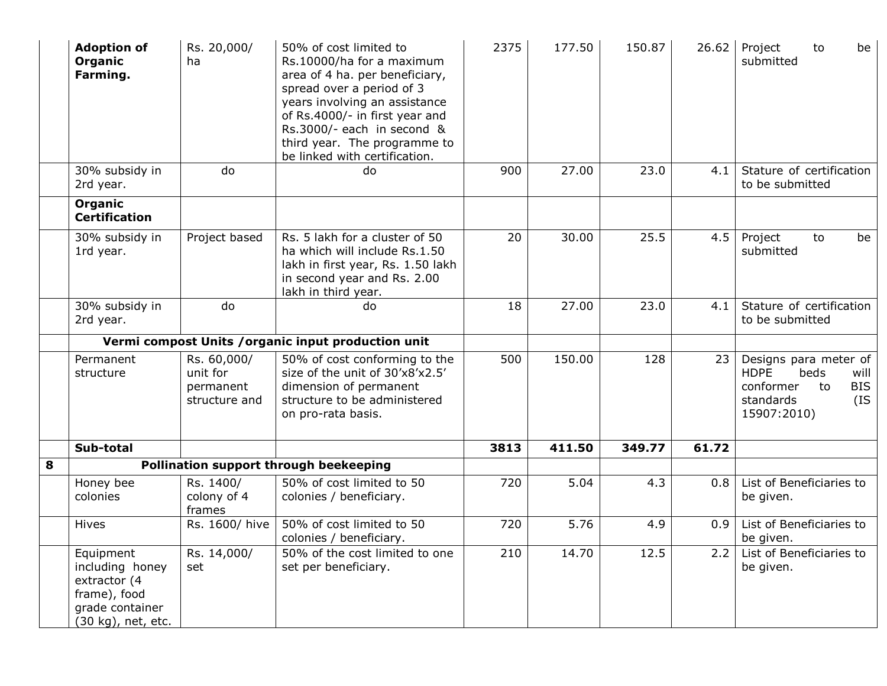|   | <b>Adoption of</b><br>Organic<br>Farming.                                                             | Rs. 20,000/<br>ha                                     | 50% of cost limited to<br>Rs.10000/ha for a maximum<br>area of 4 ha. per beneficiary,<br>spread over a period of 3<br>years involving an assistance<br>of Rs.4000/- in first year and<br>Rs.3000/- each in second &<br>third year. The programme to<br>be linked with certification. | 2375 | 177.50 | 150.87 | 26.62 | Project<br>to<br>be<br>submitted                                                                                         |
|---|-------------------------------------------------------------------------------------------------------|-------------------------------------------------------|--------------------------------------------------------------------------------------------------------------------------------------------------------------------------------------------------------------------------------------------------------------------------------------|------|--------|--------|-------|--------------------------------------------------------------------------------------------------------------------------|
|   | 30% subsidy in<br>2rd year.                                                                           | do                                                    | do                                                                                                                                                                                                                                                                                   | 900  | 27.00  | 23.0   | 4.1   | Stature of certification<br>to be submitted                                                                              |
|   | Organic<br><b>Certification</b>                                                                       |                                                       |                                                                                                                                                                                                                                                                                      |      |        |        |       |                                                                                                                          |
|   | 30% subsidy in<br>1rd year.                                                                           | Project based                                         | Rs. 5 lakh for a cluster of 50<br>ha which will include Rs.1.50<br>lakh in first year, Rs. 1.50 lakh<br>in second year and Rs. 2.00<br>lakh in third year.                                                                                                                           | 20   | 30.00  | 25.5   | 4.5   | Project<br>to<br>be<br>submitted                                                                                         |
|   | 30% subsidy in<br>2rd year.                                                                           | do                                                    | do                                                                                                                                                                                                                                                                                   | 18   | 27.00  | 23.0   | 4.1   | Stature of certification<br>to be submitted                                                                              |
|   |                                                                                                       |                                                       | Vermi compost Units / organic input production unit                                                                                                                                                                                                                                  |      |        |        |       |                                                                                                                          |
|   | Permanent<br>structure                                                                                | Rs. 60,000/<br>unit for<br>permanent<br>structure and | 50% of cost conforming to the<br>size of the unit of 30'x8'x2.5'<br>dimension of permanent<br>structure to be administered<br>on pro-rata basis.                                                                                                                                     | 500  | 150.00 | 128    | 23    | Designs para meter of<br><b>HDPE</b><br>beds<br>will<br>conformer<br><b>BIS</b><br>to<br>(IS<br>standards<br>15907:2010) |
|   | Sub-total                                                                                             |                                                       |                                                                                                                                                                                                                                                                                      | 3813 | 411.50 | 349.77 | 61.72 |                                                                                                                          |
| 8 |                                                                                                       |                                                       | Pollination support through beekeeping                                                                                                                                                                                                                                               |      |        |        |       |                                                                                                                          |
|   | Honey bee<br>colonies                                                                                 | Rs. 1400/<br>colony of 4<br>frames                    | 50% of cost limited to 50<br>colonies / beneficiary.                                                                                                                                                                                                                                 | 720  | 5.04   | 4.3    | 0.8   | List of Beneficiaries to<br>be given.                                                                                    |
|   | Hives                                                                                                 | Rs. 1600/ hive                                        | 50% of cost limited to 50<br>colonies / beneficiary.                                                                                                                                                                                                                                 | 720  | 5.76   | 4.9    | 0.9   | List of Beneficiaries to<br>be given.                                                                                    |
|   | Equipment<br>including honey<br>extractor (4<br>frame), food<br>grade container<br>(30 kg), net, etc. | Rs. 14,000/<br>set                                    | 50% of the cost limited to one<br>set per beneficiary.                                                                                                                                                                                                                               | 210  | 14.70  | 12.5   | 2.2   | List of Beneficiaries to<br>be given.                                                                                    |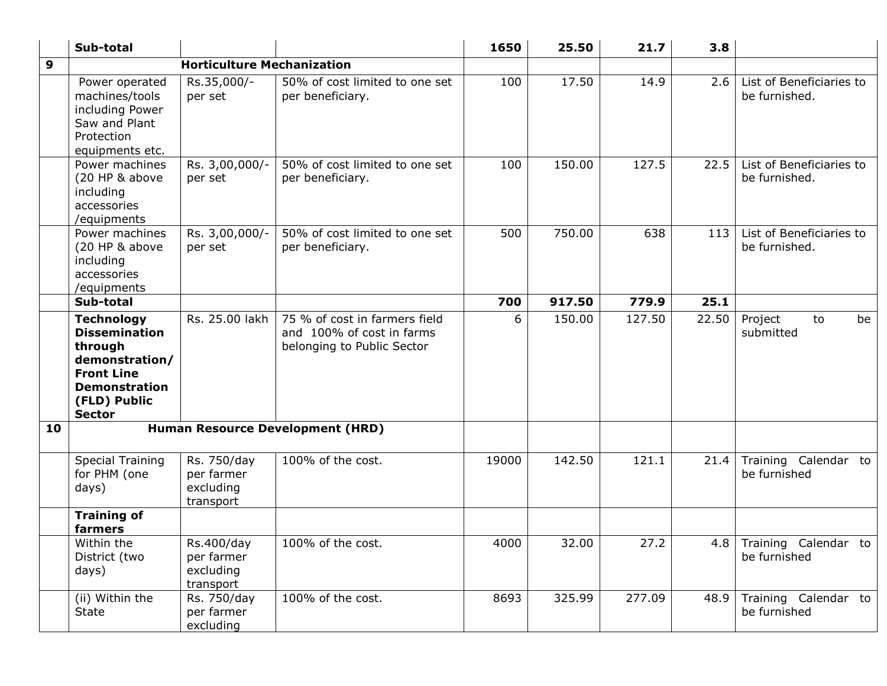|    | Sub-total                                                                                                                                            |                                                     |                                                                                          | 1650  | 25.50  | 21.7   | 3.8   |                                           |
|----|------------------------------------------------------------------------------------------------------------------------------------------------------|-----------------------------------------------------|------------------------------------------------------------------------------------------|-------|--------|--------|-------|-------------------------------------------|
| 9  |                                                                                                                                                      | <b>Horticulture Mechanization</b>                   |                                                                                          |       |        |        |       |                                           |
|    | Power operated<br>machines/tools<br>including Power<br>Saw and Plant<br>Protection<br>equipments etc.                                                | Rs.35,000/-<br>per set                              | 50% of cost limited to one set<br>per beneficiary.                                       | 100   | 17.50  | 14.9   | 2.6   | List of Beneficiaries to<br>be furnished. |
|    | Power machines<br>(20 HP & above<br>including<br>accessories<br>/equipments                                                                          | Rs. 3,00,000/-<br>per set                           | 50% of cost limited to one set<br>per beneficiary.                                       | 100   | 150.00 | 127.5  | 22.5  | List of Beneficiaries to<br>be furnished. |
|    | Power machines<br>(20 HP & above<br>including<br>accessories<br>/equipments                                                                          | Rs. 3,00,000/-<br>per set                           | 50% of cost limited to one set<br>per beneficiary.                                       | 500   | 750.00 | 638    | 113   | List of Beneficiaries to<br>be furnished. |
|    | Sub-total                                                                                                                                            |                                                     |                                                                                          | 700   | 917.50 | 779.9  | 25.1  |                                           |
|    | <b>Technology</b><br><b>Dissemination</b><br>through<br>demonstration/<br><b>Front Line</b><br><b>Demonstration</b><br>(FLD) Public<br><b>Sector</b> | Rs. 25.00 lakh                                      | 75 % of cost in farmers field<br>and 100% of cost in farms<br>belonging to Public Sector | 6     | 150.00 | 127.50 | 22.50 | Project<br>to<br>be<br>submitted          |
| 10 |                                                                                                                                                      |                                                     | <b>Human Resource Development (HRD)</b>                                                  |       |        |        |       |                                           |
|    | <b>Special Training</b><br>for PHM (one<br>days)                                                                                                     | Rs. 750/day<br>per farmer<br>excluding<br>transport | 100% of the cost.                                                                        | 19000 | 142.50 | 121.1  | 21.4  | Training Calendar to<br>be furnished      |
|    | <b>Training of</b><br>farmers                                                                                                                        |                                                     |                                                                                          |       |        |        |       |                                           |
|    | Within the<br>District (two<br>days)                                                                                                                 | Rs.400/day<br>per farmer<br>excluding<br>transport  | 100% of the cost.                                                                        | 4000  | 32.00  | 27.2   |       | 4.8 Training Calendar to<br>be furnished  |
|    | (ii) Within the<br>State                                                                                                                             | Rs. 750/day<br>per farmer<br>excluding              | 100% of the cost.                                                                        | 8693  | 325.99 | 277.09 | 48.9  | Training Calendar to<br>be furnished      |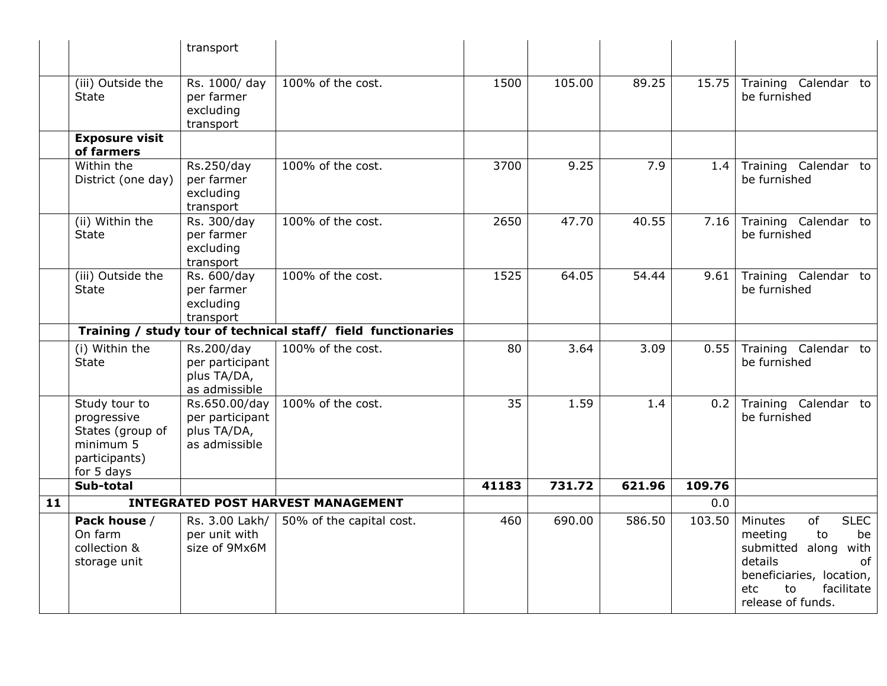|    |                                                                                              | transport                                                        |                                                               |       |        |                     |        |                                                                                                                                                                              |
|----|----------------------------------------------------------------------------------------------|------------------------------------------------------------------|---------------------------------------------------------------|-------|--------|---------------------|--------|------------------------------------------------------------------------------------------------------------------------------------------------------------------------------|
|    | (iii) Outside the<br><b>State</b>                                                            | Rs. 1000/ day<br>per farmer<br>excluding<br>transport            | 100% of the cost.                                             | 1500  | 105.00 | 89.25               | 15.75  | Training Calendar to<br>be furnished                                                                                                                                         |
|    | <b>Exposure visit</b><br>of farmers                                                          |                                                                  |                                                               |       |        |                     |        |                                                                                                                                                                              |
|    | Within the<br>District (one day)                                                             | Rs.250/day<br>per farmer<br>excluding<br>transport               | 100% of the cost.                                             | 3700  | 9.25   | 7.9                 | 1.4    | Training Calendar to<br>be furnished                                                                                                                                         |
|    | (ii) Within the<br><b>State</b>                                                              | Rs. 300/day<br>per farmer<br>excluding<br>transport              | 100% of the cost.                                             | 2650  | 47.70  | 40.55               | 7.16   | Training Calendar to<br>be furnished                                                                                                                                         |
|    | (iii) Outside the<br><b>State</b>                                                            | Rs. 600/day<br>per farmer<br>excluding<br>transport              | 100% of the cost.                                             | 1525  | 64.05  | $\overline{5}$ 4.44 | 9.61   | Training Calendar to<br>be furnished                                                                                                                                         |
|    |                                                                                              |                                                                  | Training / study tour of technical staff/ field functionaries |       |        |                     |        |                                                                                                                                                                              |
|    | (i) Within the<br><b>State</b>                                                               | Rs.200/day<br>per participant<br>plus TA/DA,<br>as admissible    | 100% of the cost.                                             | 80    | 3.64   | 3.09                | 0.55   | Training Calendar to<br>be furnished                                                                                                                                         |
|    | Study tour to<br>progressive<br>States (group of<br>minimum 5<br>participants)<br>for 5 days | Rs.650.00/day<br>per participant<br>plus TA/DA,<br>as admissible | 100% of the cost.                                             | 35    | 1.59   | 1.4                 | 0.2    | Training Calendar to<br>be furnished                                                                                                                                         |
|    | Sub-total                                                                                    |                                                                  |                                                               | 41183 | 731.72 | 621.96              | 109.76 |                                                                                                                                                                              |
| 11 | <b>INTEGRATED POST HARVEST MANAGEMENT</b>                                                    |                                                                  |                                                               |       |        | 0.0                 |        |                                                                                                                                                                              |
|    | Pack house /<br>On farm<br>collection &<br>storage unit                                      | Rs. 3.00 Lakh/<br>per unit with<br>size of 9Mx6M                 | 50% of the capital cost.                                      | 460   | 690.00 | 586.50              | 103.50 | <b>SLEC</b><br>Minutes<br>of<br>meeting<br>to<br>be<br>submitted along<br>with<br>details<br>of<br>beneficiaries, location,<br>to<br>facilitate<br>etc.<br>release of funds. |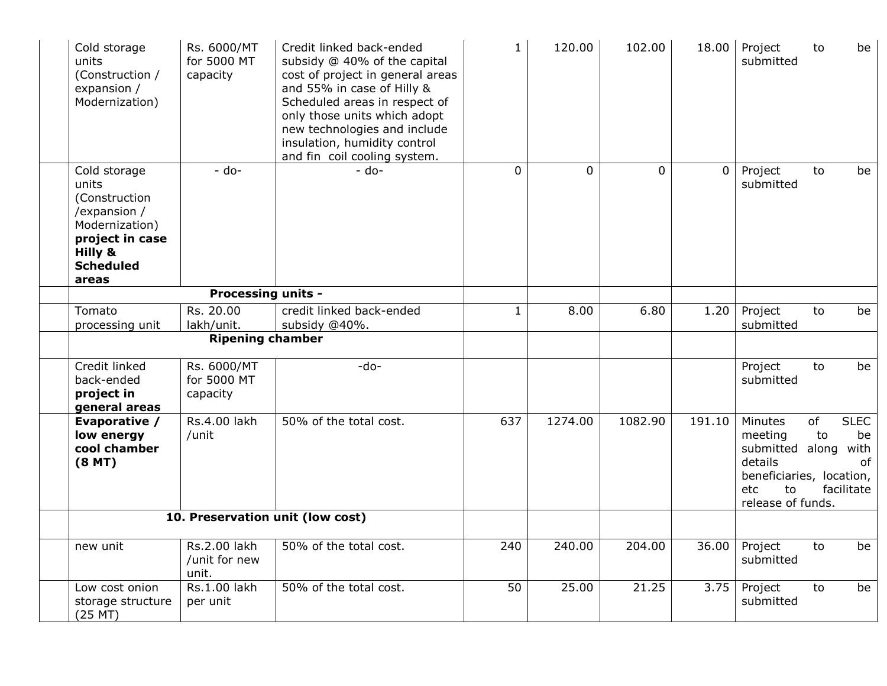| Cold storage<br>units<br>(Construction /<br>expansion /<br>Modernization)                                                           | Rs. 6000/MT<br>for 5000 MT<br>capacity | Credit linked back-ended<br>subsidy @ 40% of the capital<br>cost of project in general areas<br>and 55% in case of Hilly &<br>Scheduled areas in respect of<br>only those units which adopt<br>new technologies and include<br>insulation, humidity control<br>and fin coil cooling system. | $\mathbf{1}$ | 120.00         | 102.00         | 18.00          | Project<br>submitted                                                                                           | to       | be                                            |
|-------------------------------------------------------------------------------------------------------------------------------------|----------------------------------------|---------------------------------------------------------------------------------------------------------------------------------------------------------------------------------------------------------------------------------------------------------------------------------------------|--------------|----------------|----------------|----------------|----------------------------------------------------------------------------------------------------------------|----------|-----------------------------------------------|
| Cold storage<br>units<br>(Construction<br>/expansion /<br>Modernization)<br>project in case<br>Hilly &<br><b>Scheduled</b><br>areas | $-$ do-                                | $-$ do-                                                                                                                                                                                                                                                                                     | $\Omega$     | $\overline{0}$ | $\overline{0}$ | $\overline{0}$ | Project<br>submitted                                                                                           | to       | be                                            |
|                                                                                                                                     | <b>Processing units -</b>              |                                                                                                                                                                                                                                                                                             |              |                |                |                |                                                                                                                |          |                                               |
| Tomato<br>processing unit                                                                                                           | Rs. 20.00<br>lakh/unit.                | credit linked back-ended<br>subsidy @40%.                                                                                                                                                                                                                                                   | $\mathbf{1}$ | 8.00           | 6.80           | 1.20           | Project<br>submitted                                                                                           | to       | be                                            |
|                                                                                                                                     | <b>Ripening chamber</b>                |                                                                                                                                                                                                                                                                                             |              |                |                |                |                                                                                                                |          |                                               |
| Credit linked<br>back-ended<br>project in<br>general areas                                                                          | Rs. 6000/MT<br>for 5000 MT<br>capacity | $-do-$                                                                                                                                                                                                                                                                                      |              |                |                |                | Project<br>submitted                                                                                           | to       | be                                            |
| Evaporative /<br>low energy<br>cool chamber<br>(8 <sub>MT</sub> )                                                                   | Rs.4.00 lakh<br>/unit                  | 50% of the total cost.                                                                                                                                                                                                                                                                      | 637          | 1274.00        | 1082.90        | 191.10         | Minutes<br>meeting<br>submitted along<br>details<br>beneficiaries, location,<br>etc<br>to<br>release of funds. | of<br>to | <b>SLEC</b><br>be<br>with<br>of<br>facilitate |
|                                                                                                                                     |                                        | 10. Preservation unit (low cost)                                                                                                                                                                                                                                                            |              |                |                |                |                                                                                                                |          |                                               |
| new unit                                                                                                                            | Rs.2.00 lakh<br>/unit for new<br>unit. | 50% of the total cost.                                                                                                                                                                                                                                                                      | 240          | 240.00         | 204.00         | 36.00          | Project<br>submitted                                                                                           | to       | be                                            |
| Low cost onion<br>storage structure<br>$(25$ MT $)$                                                                                 | Rs.1.00 lakh<br>per unit               | 50% of the total cost.                                                                                                                                                                                                                                                                      | 50           | 25.00          | 21.25          | 3.75           | Project<br>submitted                                                                                           | to       | be                                            |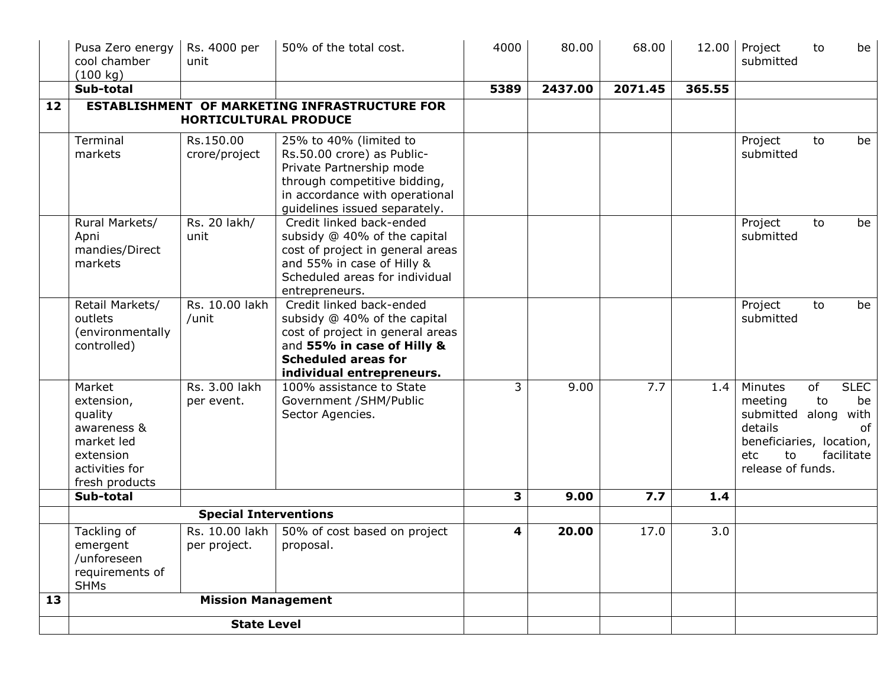|    | Pusa Zero energy<br>cool chamber<br>(100 kg)                                                                  | Rs. 4000 per<br>unit             | 50% of the total cost.                                                                                                                                                                | 4000 | 80.00   | 68.00   | 12.00  | Project<br>submitted                                                                                           | to       | be                                            |
|----|---------------------------------------------------------------------------------------------------------------|----------------------------------|---------------------------------------------------------------------------------------------------------------------------------------------------------------------------------------|------|---------|---------|--------|----------------------------------------------------------------------------------------------------------------|----------|-----------------------------------------------|
|    | Sub-total                                                                                                     |                                  |                                                                                                                                                                                       | 5389 | 2437.00 | 2071.45 | 365.55 |                                                                                                                |          |                                               |
| 12 | <b>ESTABLISHMENT OF MARKETING INFRASTRUCTURE FOR</b><br><b>HORTICULTURAL PRODUCE</b>                          |                                  |                                                                                                                                                                                       |      |         |         |        |                                                                                                                |          |                                               |
|    | Terminal<br>markets                                                                                           | Rs.150.00<br>crore/project       | 25% to 40% (limited to<br>Rs.50.00 crore) as Public-<br>Private Partnership mode<br>through competitive bidding,<br>in accordance with operational<br>guidelines issued separately.   |      |         |         |        | Project<br>submitted                                                                                           | to       | be                                            |
|    | Rural Markets/<br>Apni<br>mandies/Direct<br>markets                                                           | Rs. 20 lakh/<br>unit             | Credit linked back-ended<br>subsidy @ 40% of the capital<br>cost of project in general areas<br>and 55% in case of Hilly &<br>Scheduled areas for individual<br>entrepreneurs.        |      |         |         |        | Project<br>submitted                                                                                           | to       | be                                            |
|    | Retail Markets/<br>outlets<br>(environmentally<br>controlled)                                                 | Rs. 10.00 lakh<br>/unit          | Credit linked back-ended<br>subsidy @ 40% of the capital<br>cost of project in general areas<br>and 55% in case of Hilly &<br><b>Scheduled areas for</b><br>individual entrepreneurs. |      |         |         |        | Project<br>submitted                                                                                           | to       | be                                            |
|    | Market<br>extension,<br>quality<br>awareness &<br>market led<br>extension<br>activities for<br>fresh products | Rs. 3.00 lakh<br>per event.      | 100% assistance to State<br>Government /SHM/Public<br>Sector Agencies.                                                                                                                | 3    | 9.00    | 7.7     | 1.4    | Minutes<br>meeting<br>submitted along<br>details<br>beneficiaries, location,<br>etc<br>to<br>release of funds. | of<br>to | <b>SLEC</b><br>be<br>with<br>of<br>facilitate |
|    | Sub-total                                                                                                     |                                  |                                                                                                                                                                                       | 3    | 9.00    | 7.7     | 1.4    |                                                                                                                |          |                                               |
|    | <b>Special Interventions</b>                                                                                  |                                  |                                                                                                                                                                                       |      |         |         |        |                                                                                                                |          |                                               |
|    | Tackling of<br>emergent<br>/unforeseen<br>requirements of<br><b>SHMs</b>                                      | Rs. 10.00 lakh  <br>per project. | 50% of cost based on project<br>proposal.                                                                                                                                             | 4    | 20.00   | 17.0    | 3.0    |                                                                                                                |          |                                               |
| 13 |                                                                                                               | <b>Mission Management</b>        |                                                                                                                                                                                       |      |         |         |        |                                                                                                                |          |                                               |
|    | <b>State Level</b>                                                                                            |                                  |                                                                                                                                                                                       |      |         |         |        |                                                                                                                |          |                                               |